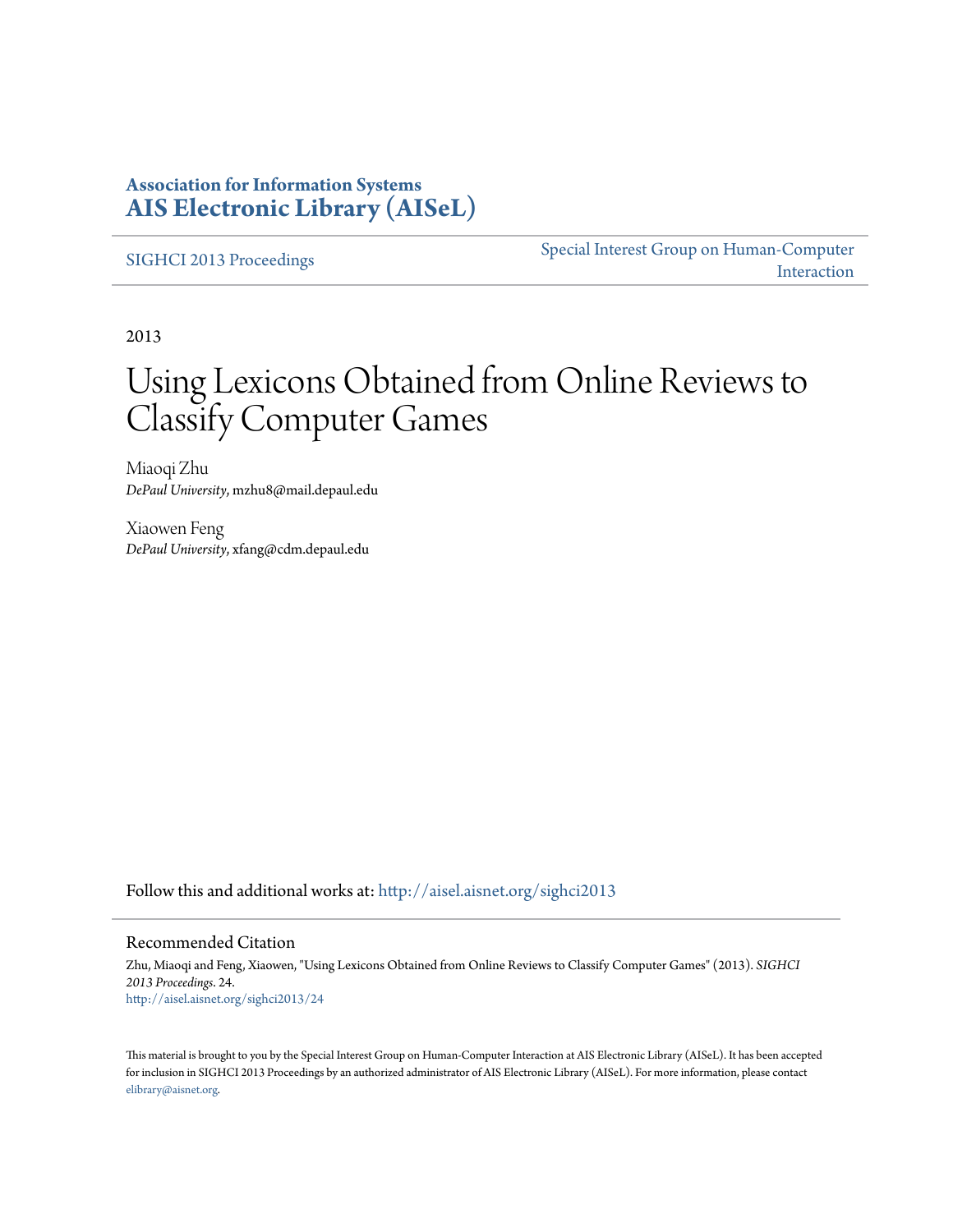### **Association for Information Systems [AIS Electronic Library \(AISeL\)](http://aisel.aisnet.org?utm_source=aisel.aisnet.org%2Fsighci2013%2F24&utm_medium=PDF&utm_campaign=PDFCoverPages)**

[SIGHCI 2013 Proceedings](http://aisel.aisnet.org/sighci2013?utm_source=aisel.aisnet.org%2Fsighci2013%2F24&utm_medium=PDF&utm_campaign=PDFCoverPages)

[Special Interest Group on Human-Computer](http://aisel.aisnet.org/sighci?utm_source=aisel.aisnet.org%2Fsighci2013%2F24&utm_medium=PDF&utm_campaign=PDFCoverPages) [Interaction](http://aisel.aisnet.org/sighci?utm_source=aisel.aisnet.org%2Fsighci2013%2F24&utm_medium=PDF&utm_campaign=PDFCoverPages)

2013

# Using Lexicons Obtained from Online Reviews to Classify Computer Games

Miaoqi Zhu *DePaul University*, mzhu8@mail.depaul.edu

Xiaowen Feng *DePaul University*, xfang@cdm.depaul.edu

Follow this and additional works at: [http://aisel.aisnet.org/sighci2013](http://aisel.aisnet.org/sighci2013?utm_source=aisel.aisnet.org%2Fsighci2013%2F24&utm_medium=PDF&utm_campaign=PDFCoverPages)

#### Recommended Citation

Zhu, Miaoqi and Feng, Xiaowen, "Using Lexicons Obtained from Online Reviews to Classify Computer Games" (2013). *SIGHCI 2013 Proceedings*. 24. [http://aisel.aisnet.org/sighci2013/24](http://aisel.aisnet.org/sighci2013/24?utm_source=aisel.aisnet.org%2Fsighci2013%2F24&utm_medium=PDF&utm_campaign=PDFCoverPages)

This material is brought to you by the Special Interest Group on Human-Computer Interaction at AIS Electronic Library (AISeL). It has been accepted for inclusion in SIGHCI 2013 Proceedings by an authorized administrator of AIS Electronic Library (AISeL). For more information, please contact [elibrary@aisnet.org.](mailto:elibrary@aisnet.org%3E)